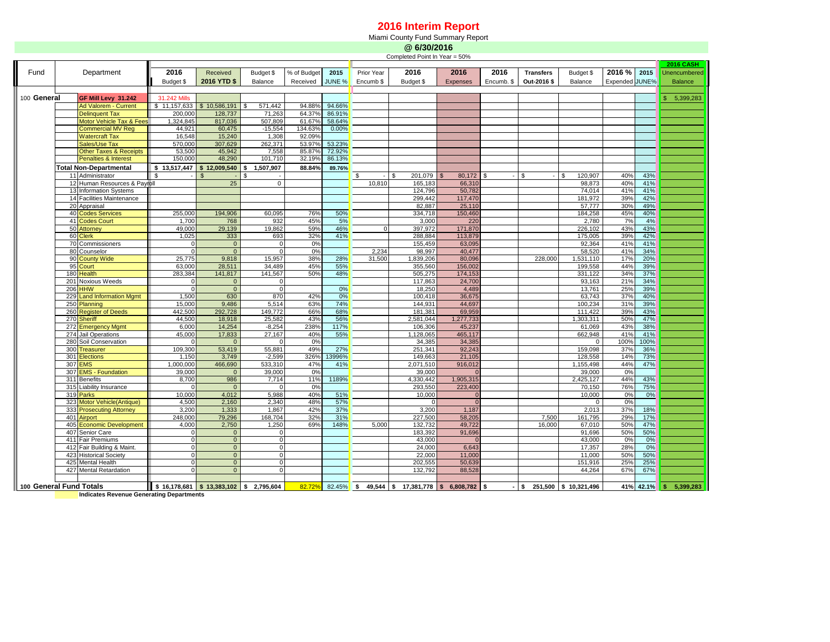## **2016 Interim Report**

Miami County Fund Summary Report

|                         |                |                                        | @ 6/30/2016                   |                                          |                  |             |            |            |                                                   |                 |                |                  |                          |                |           |                           |
|-------------------------|----------------|----------------------------------------|-------------------------------|------------------------------------------|------------------|-------------|------------|------------|---------------------------------------------------|-----------------|----------------|------------------|--------------------------|----------------|-----------|---------------------------|
|                         |                |                                        | Completed Point In Year = 50% |                                          |                  |             |            |            |                                                   |                 |                |                  |                          |                |           |                           |
|                         |                |                                        |                               |                                          |                  |             |            |            |                                                   |                 |                |                  |                          |                |           | <b>2016 CASH</b>          |
| Fund                    |                | Department                             | 2016                          | Received                                 | Budget \$        | % of Budget | 2015       | Prior Year | 2016                                              | 2016            | 2016           | <b>Transfers</b> | Budget \$                | 2016 %         | 2015      | Unencumbered              |
|                         |                |                                        | Budget \$                     | 2016 YTD \$                              | Balance          | Received    | JUNE %     | Encumb \$  | Budget \$                                         | Expenses        | Encumb. \$     | Out-2016 \$      | Balance                  | Expended JUNE% |           | <b>Balance</b>            |
|                         |                |                                        |                               |                                          |                  |             |            |            |                                                   |                 |                |                  |                          |                |           |                           |
| 100 General             |                | GF Mill Levy 31.242                    | 31.242 Mills                  |                                          |                  |             |            |            |                                                   |                 |                |                  |                          |                |           | $\mathbf{s}$<br>5,399,283 |
|                         |                | <b>Ad Valorem - Current</b>            | \$11.157.633                  | \$10,586,191                             | 571,442          | 94.88%      | 94.66%     |            |                                                   |                 |                |                  |                          |                |           |                           |
|                         |                | <b>Delinquent Tax</b>                  | 200,000                       | 128,737                                  | 71,263           | 64.37%      | 86.91%     |            |                                                   |                 |                |                  |                          |                |           |                           |
|                         |                | <b>Motor Vehicle Tax &amp; Fees</b>    | 1,324,845                     | 817,036                                  | 507,809          | 61.67%      | 58.64%     |            |                                                   |                 |                |                  |                          |                |           |                           |
|                         |                | <b>Commercial MV Reg</b>               | 44.921                        | 60,475                                   | $-15,554$        | 134.63%     | 0.00%      |            |                                                   |                 |                |                  |                          |                |           |                           |
|                         |                | <b>Watercraft Tax</b>                  | 16,548                        | 15,240                                   | 1,308            | 92.09%      |            |            |                                                   |                 |                |                  |                          |                |           |                           |
|                         |                | Sales/Use Tax                          | 570,000                       | 307,629                                  | 262,371          | 53.97%      | 53.23%     |            |                                                   |                 |                |                  |                          |                |           |                           |
|                         |                | <b>Other Taxes &amp; Receipts</b>      | 53,500                        | 45,942                                   | 7,558            | 85.87%      | 72.92%     |            |                                                   |                 |                |                  |                          |                |           |                           |
|                         |                | <b>Penalties &amp; Interest</b>        | 150,000                       | 48,290                                   | 101,710          | 32.19%      | 86.13%     |            |                                                   |                 |                |                  |                          |                |           |                           |
|                         |                | <b>Total Non-Departmental</b>          | \$13,517,447                  | \$12,009,540                             | 1,507,907<br>\$  | 88.84%      | 89.76%     |            |                                                   |                 |                |                  |                          |                |           |                           |
|                         |                | 11 Administrator                       | -\$                           |                                          |                  |             |            | \$         | 201,079<br>\$                                     | 80,172          | $\mathfrak{s}$ | S                | <b>S</b><br>120,907      | 40%            | 43%       |                           |
|                         |                | 12 Human Resources & Payroll           |                               | 25                                       | $\mathbf 0$      |             |            | 10,810     | 165,183                                           | 66,31           |                |                  | 98.873                   | 40%            | 41%       |                           |
|                         |                | 13 Information Systems                 |                               |                                          |                  |             |            |            | 124.796                                           | 50,782          |                |                  | 74.014                   | 41%            | 41%       |                           |
|                         |                | 14 Facilities Maintenance              |                               |                                          |                  |             |            |            | 299,442                                           | 117,470         |                |                  | 181.972                  | 39%            | 42%       |                           |
|                         |                | 20 Appraisal                           |                               |                                          |                  |             |            |            | 82.887                                            | 25,110          |                |                  | 57.777                   | 30%            | 49%       |                           |
|                         |                | 40 Codes Services                      | 255,000                       | 194,906                                  | 60,095           | 76%         | 50%        |            | 334.718                                           | 150,460         |                |                  | 184,258                  | 45%            | 40%       |                           |
|                         | 41<br>50       | <b>Codes Court</b>                     | 1,700<br>49,000               | 768<br>29,139                            | 932<br>19,862    | 45%<br>59%  | 5%<br>46%  | $\Omega$   | 3.000<br>397,972                                  | 220<br>171,870  |                |                  | 2.780<br>226,102         | 7%<br>43%      | 4%<br>43% |                           |
|                         | 60             | Attorney<br><b>Clerk</b>               | 1,025                         | 333                                      | 693              | 32%         | 41%        |            | 288,884                                           | 113,879         |                |                  | 175,005                  | 39%            | 42%       |                           |
|                         |                | 70 Commissioners                       |                               | $\mathbf{0}$                             |                  | 0%          |            |            | 155,459                                           | 63,095          |                |                  | 92,364                   | 41%            | 41%       |                           |
|                         |                | 80 Counselor                           | $\Omega$                      | $\overline{0}$                           | $\Omega$         | 0%          |            | 2,234      | 98,997                                            | 40,477          |                |                  | 58,520                   | 41%            | 34%       |                           |
|                         |                | 90 County Wide                         | 25,775                        | 9,818                                    | 15,957           | 38%         | 28%        | 31,500     | 1,839,206                                         | 80,096          |                | 228,000          | 1,531,110                | 17%            | 20%       |                           |
|                         |                | 95 Court                               | 63,000                        | 28,511                                   | 34,489           | 45%         | 55%        |            | 355,560                                           | 156,002         |                |                  | 199,558                  | 44%            | 39%       |                           |
|                         |                | 180 Health                             | 283,384                       | 141,817                                  | 141,567          | 50%         | 48%        |            | 505,275                                           | 174,153         |                |                  | 331,122                  | 34%            | 37%       |                           |
|                         | 201            | Noxious Weeds                          |                               | $\mathbf 0$                              |                  |             |            |            | 117,863                                           | 24,700          |                |                  | 93,163                   | 21%            | 34%       |                           |
|                         | 206            | <b>HHW</b>                             |                               | $\mathbf 0$                              |                  |             | 0%         |            | 18,250                                            | 4,489           |                |                  | 13,761                   | 25%            | 39%       |                           |
|                         | 229            | and Information Mgmt                   | 1,500                         | 630                                      | 870              | 42%         | 0%         |            | 100,418                                           | 36,675          |                |                  | 63,743                   | 37%            | 40%       |                           |
|                         | 250            | Planning                               | 15,000                        | 9,486                                    | 5,514            | 63%         | 74%        |            | 144.931                                           | 44.697          |                |                  | 100.234                  | 31%            | 39%       |                           |
|                         | 260            | <b>Register of Deeds</b>               | 442.500                       | 292.728                                  | 149.772          | 66%         | 68%        |            | 181.381                                           | 69.959          |                |                  | 111.422                  | 39%            | 43%       |                           |
|                         |                | 270 Sheriff                            | 44.500                        | 18.918                                   | 25.582           | 43%         | 56%        |            | 2.581.044                                         | 1,277,733       |                |                  | 1.303.311                | 50%            | 47%       |                           |
|                         |                | 272 Emergency Mgmt                     | 6.000                         | 14.254                                   | $-8.254$         | 238%        | 117%       |            | 106.306                                           | 45.237          |                |                  | 61.069                   | 43%            | 38%       |                           |
|                         |                | 274 Jail Operations                    | 45.000                        | 17.833                                   | 27.167           | 40%         | 55%        |            | 1.128.065                                         | 465.117         |                |                  | 662.948                  | 41%            | 41%       |                           |
|                         | 280            | Soil Conservation                      |                               | $\Omega$                                 |                  | 0%          |            |            | 34.385                                            | 34,385          |                |                  | $\Omega$                 | 100%           | 100%      |                           |
|                         | 300            | <b>Treasurer</b>                       | 109,300                       | 53,419                                   | 55,881           | 49%         | 27%        |            | 251,341                                           | 92,243          |                |                  | 159,098                  | 37%            | 36%       |                           |
|                         |                | 301 Elections                          | 1.150                         | 3,749                                    | $-2,599$         | 326%        | 13996%     |            | 149,663                                           | 21,105          |                |                  | 128,558                  | 14%            | 73%       |                           |
|                         | 307 <b>EMS</b> |                                        | 1,000,000                     | 466,690                                  | 533,310          | 47%         | 41%        |            | 2,071,510                                         | 916.012         |                |                  | 1,155,498                | 44%            | 47%       |                           |
|                         |                | 307 EMS - Foundation                   | 39,000                        | $\mathbf{0}$                             | 39,000           | 0%          |            |            | 39,000                                            | $\Omega$        |                |                  | 39,000                   | 0%             |           |                           |
|                         | 311            | <b>Benefits</b>                        | 8,700                         | 986                                      | 7,714            | 11%         | 1189%      |            | 4,330,442                                         | 1,905,315       |                |                  | 2,425,127                | 44%            | 43%       |                           |
|                         | 315            | Liability Insurance                    |                               | $\mathbf{0}$                             |                  | 0%          |            |            | 293,550                                           | 223,400         |                |                  | 70,150                   | 76%            | 75%       |                           |
|                         | 319            | Parks                                  | 10,000                        | 4,012                                    | 5,988            | 40%         | 51%        |            | 10,000                                            | $\Omega$        |                |                  | 10,000                   | 0%             | 0%        |                           |
|                         | 323            | Motor Vehicle(Antique)                 | 4,500<br>3,200                | 2,160                                    | 2,340            | 48%<br>42%  | 57%        |            | 3,200                                             | $\Omega$        |                |                  | $\Omega$<br>2,013        | 0%<br>37%      | 18%       |                           |
|                         | 333<br>401     | <b>Prosecuting Attorney</b><br>Airport | 248,000                       | 1,333<br>79,296                          | 1,867<br>168,704 | 32%         | 37%<br>31% |            | 227,500                                           | 1,187<br>58,205 |                | 7,500            | 161,795                  | 29%            | 17%       |                           |
|                         | 405            | <b>Economic Development</b>            | 4.000                         | 2,750                                    | 1,250            | 69%         | 148%       | 5.000      | 132.732                                           | 49.722          |                | 16,000           | 67.010                   | 50%            | 47%       |                           |
|                         | 407            | Senior Care                            | $\Omega$                      | $\mathbf{0}$                             | $\Omega$         |             |            |            | 183.392                                           | 91.696          |                |                  | 91,696                   | 50%            | 50%       |                           |
|                         | 411            | Fair Premiums                          | $\Omega$                      | $\mathbf{0}$                             | $\Omega$         |             |            |            | 43,000                                            | $\Omega$        |                |                  | 43,000                   | 0%             | 0%        |                           |
|                         | 412            | Fair Building & Maint.                 | $\Omega$                      | $\overline{0}$                           | $\mathbf 0$      |             |            |            | 24,000                                            | 6,643           |                |                  | 17.357                   | 28%            | 0%        |                           |
|                         | 423            | <b>Historical Society</b>              | $\Omega$                      | $\Omega$                                 | $\Omega$         |             |            |            | 22,000                                            | 11.000          |                |                  | 11.000                   | 50%            | 50%       |                           |
|                         |                | 425 Mental Health                      | $\Omega$                      | $\Omega$                                 | $\Omega$         |             |            |            | 202,555                                           | 50,639          |                |                  | 151,916                  | 25%            | 25%       |                           |
|                         |                | 427 Mental Retardation                 |                               | $\Omega$                                 |                  |             |            |            | 132,792                                           | 88,528          |                |                  | 44,264                   | 67%            | 67%       |                           |
|                         |                |                                        |                               |                                          |                  |             |            |            |                                                   |                 |                |                  |                          |                |           |                           |
| 100 General Fund Totals |                |                                        |                               | $$16,178,681$ $$13,383,102$ $$2,795,604$ |                  | 82.72%      |            |            | $82.45\%$ \$ 49,544 \$ 17,381,778 \$ 6,808,782 \$ |                 |                |                  | $$251,500$ $$10,321,496$ | 41%            | 42.1%     | 5.399.283<br>s            |

**Indicates Revenue Generating Departments**

Ш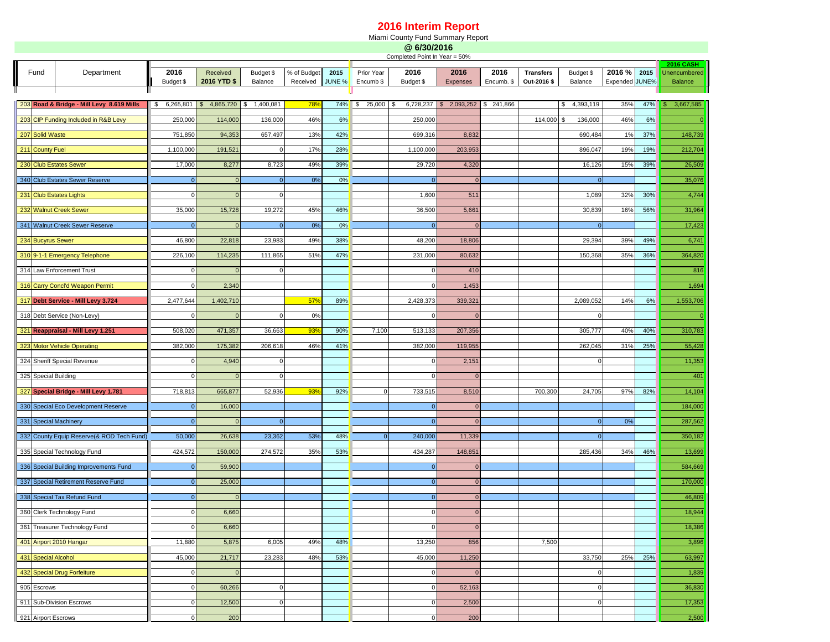## **2016 Interim Report**

Miami County Fund Summary Report

|                                           |                                 |                                           | @ 6/30/2016<br>Completed Point In Year = 50%      |                |                |          |               |           |                |                                   |                  |             |                |                |                                  |                |
|-------------------------------------------|---------------------------------|-------------------------------------------|---------------------------------------------------|----------------|----------------|----------|---------------|-----------|----------------|-----------------------------------|------------------|-------------|----------------|----------------|----------------------------------|----------------|
| Fund<br>Department                        |                                 | 2016                                      | Received                                          | Budget \$      | % of Budget    | 2015     | Prior Year    | 2016      | 2016           | 2016                              | <b>Transfers</b> | Budget \$   | 2016 %         | 2015           | <b>2016 CASH</b><br>Unencumbered |                |
|                                           |                                 |                                           | Budget \$                                         | 2016 YTD \$    | Balance        | Received | <b>JUNE %</b> | Encumb \$ | Budget \$      | Expenses                          | Encumb. \$       | Out-2016 \$ | Balance        | Expended JUNE% |                                  | <b>Balance</b> |
|                                           |                                 |                                           |                                                   |                |                |          |               |           |                |                                   |                  |             |                |                |                                  |                |
| 203 Road & Bridge - Mill Levy 8.619 Mills |                                 |                                           | $\frac{1}{5}$ 6,265,801 \$ 4,865,720 \$ 1,400,081 |                |                | 78%      | $74\%$ \$     | 25,000 \$ |                | 6,728,237 \$ 2,093,252 \$ 241,866 |                  |             | \$4,393,119    | 35%            | 47%                              | 3,667,585      |
| 203 CIP Funding Included in R&B Levy      |                                 | 250,000                                   | 114,000                                           | 136,000        | 46%            | 6%       |               | 250,000   |                |                                   | 114,000 \$       | 136,000     | 46%            | 6%             |                                  |                |
| 207 Solid Waste                           |                                 | 751,850                                   | 94,353                                            | 657,497        | 13%            | 42%      |               | 699,316   | 8,832          |                                   |                  | 690,484     | 1%             | 37%            | 148,739                          |                |
|                                           | 211 County Fuel                 |                                           | 1,100,000                                         | 191,521        | $\mathbf 0$    | 17%      | 28%           |           | 1,100,000      | 203,953                           |                  |             | 896,047        | 19%            | 19%                              | 212,704        |
|                                           | 230 Club Estates Sewer          |                                           | 17,000                                            | 8,277          | 8,723          | 49%      | 39%           |           | 29,720         | 4,320                             |                  |             | 16,126         | 15%            | 39%                              | 26,509         |
|                                           |                                 | 340 Club Estates Sewer Reserve            | $\mathbf{0}$                                      | $\overline{0}$ | $\overline{0}$ | 0%       | 0%            |           | $\mathbf 0$    | $\mathbf 0$                       |                  |             | $\mathbf 0$    |                |                                  | 35,076         |
|                                           |                                 | 231 Club Estates Lights                   | $\Omega$                                          | $\overline{0}$ | $\mathbf 0$    |          |               |           | 1,600          | 511                               |                  |             | 1,089          | 32%            | 30%                              | 4,744          |
|                                           |                                 | 232 Walnut Creek Sewer                    | 35,000                                            | 15,728         | 19,272         | 45%      | 46%           |           | 36,500         | 5,661                             |                  |             | 30,839         | 16%            | 56%                              | 31,964         |
|                                           |                                 | 341 Walnut Creek Sewer Reserve            | $\Omega$                                          | $\overline{0}$ | $\overline{0}$ | 0%       | 0%            |           | $\overline{0}$ | $\overline{0}$                    |                  |             | $\overline{0}$ |                |                                  | 17,423         |
|                                           | 234 Bucyrus Sewer               |                                           | 46,800                                            | 22,818         | 23,983         | 49%      | 38%           |           | 48,200         | 18,806                            |                  |             | 29,394         | 39%            | 49%                              | 6,741          |
|                                           |                                 |                                           |                                                   |                |                |          |               |           |                |                                   |                  |             |                |                |                                  |                |
|                                           |                                 | 310 9-1-1 Emergency Telephone             | 226,100                                           | 114,235        | 111,865        | 51%      | 47%           |           | 231,000        | 80,632                            |                  |             | 150,368        | 35%            | 36%                              | 364,820        |
|                                           |                                 | 314 Law Enforcement Trust                 | $\Omega$                                          | $\overline{0}$ | 0              |          |               |           |                | 410                               |                  |             |                |                |                                  | 816            |
|                                           | 316 Carry Concl'd Weapon Permit |                                           |                                                   | 2,340          |                |          |               |           |                | 1,453                             |                  |             |                |                |                                  | 1,694          |
|                                           |                                 | 317 Debt Service - Mill Levy 3.724        | 2,477,644                                         | 1,402,710      |                | 57%      | 89%           |           | 2,428,373      | 339,321                           |                  |             | 2,089,052      | 14%            | 6%                               | 1,553,706      |
|                                           | 318 Debt Service (Non-Levy)     |                                           | O                                                 | $\overline{0}$ | $\mathbf 0$    | 0%       |               |           | n              | $\mathbf{0}$                      |                  |             | O              |                |                                  |                |
|                                           |                                 | 321 Reappraisal - Mill Levy 1.251         | 508,020                                           | 471,357        | 36,663         | 93%      | 90%           | 7,100     | 513,133        | 207,356                           |                  |             | 305,777        | 40%            | 40%                              | 310,783        |
|                                           | 323 Motor Vehicle Operating     |                                           | 382,000                                           | 175,382        | 206,618        | 46%      | 41%           |           | 382,000        | 119,955                           |                  |             | 262,045        | 31%            | 25%                              | 55,428         |
|                                           |                                 | 324 Sheriff Special Revenue               |                                                   | 4,940          | 0              |          |               |           |                | 2,151                             |                  |             | $\Omega$       |                |                                  | 11,353         |
|                                           | 325 Special Building            |                                           | $\Omega$                                          | $\overline{0}$ | $\Omega$       |          |               |           | $\Omega$       | $\mathbf{0}$                      |                  |             |                |                |                                  | 401            |
|                                           |                                 | 327 Special Bridge - Mill Levy 1.781      | 718,813                                           | 665,877        | 52,936         | 93%      | 92%           |           | 733,515        | 8,510                             |                  | 700,300     | 24,705         | 97%            | 82%                              | 14,104         |
|                                           |                                 | 330 Special Eco Development Reserve       | $\Omega$                                          | 16,000         |                |          |               |           | $\Omega$       | $\mathbf{0}$                      |                  |             |                |                |                                  | 184,000        |
|                                           |                                 | 331 Special Machinery                     | $\mathbf{0}$                                      | $\overline{0}$ | $\overline{0}$ |          |               |           | $\mathbf{0}$   | $\overline{0}$                    |                  |             | $\mathbf 0$    | 0%             |                                  | 287,562        |
|                                           |                                 |                                           |                                                   |                |                |          |               |           |                |                                   |                  |             |                |                |                                  |                |
|                                           |                                 | 332 County Equip Reserve(& ROD Tech Fund) | 50,000                                            | 26,638         | 23,362         | 53%      | 48%           |           | 240,000        | 11,339                            |                  |             |                |                |                                  | 350,182        |
|                                           |                                 | 335 Special Technology Fund               | 424,572                                           | 150,000        | 274,572        | 35%      | 53%           |           | 434,287        | 148,851                           |                  |             | 285,436        | 34%            | 46%                              | 13,699         |
|                                           |                                 | 336 Special Building Improvements Fund    | $\Omega$                                          | 59,900         |                |          |               |           | $\Omega$       | $\mathbf{0}$                      |                  |             |                |                |                                  | 584,669        |
|                                           |                                 | 337 Special Retirement Reserve Fund       | $\mathbf{0}$                                      | 25,000         |                |          |               |           | $\mathbf{0}$   | $\mathbf{0}$                      |                  |             |                |                |                                  | 170,000        |
|                                           |                                 | 338 Special Tax Refund Fund               |                                                   | $\overline{0}$ |                |          |               |           | $\mathbf{0}$   | $\mathbf{0}$                      |                  |             |                |                |                                  | 46,809         |
|                                           |                                 | 360 Clerk Technology Fund                 | $\Omega$                                          | 6,660          |                |          |               |           |                | $\overline{0}$                    |                  |             |                |                |                                  | 18,944         |
|                                           |                                 | 361 Treasurer Technology Fund             | $\mathbf 0$                                       | 6,660          |                |          |               |           | $\Omega$       | $\overline{0}$                    |                  |             |                |                |                                  | 18,386         |
|                                           |                                 | 401 Airport 2010 Hangar                   | 11,880                                            | 5,875          | 6,005          | 49%      | 48%           |           | 13,250         | 856                               |                  | 7,500       |                |                |                                  | 3,896          |
|                                           | 431 Special Alcohol             |                                           | 45,000                                            | 21,717         | 23,283         | 48%      | 53%           |           | 45,000         | 11,250                            |                  |             | 33,750         | 25%            | 25%                              | 63,997         |
|                                           | 432 Special Drug Forfeiture     |                                           | $\Omega$                                          | $\overline{0}$ |                |          |               |           | $\Omega$       | $\overline{0}$                    |                  |             | $\Omega$       |                |                                  | 1,839          |
|                                           | 905 Escrows                     |                                           |                                                   | 60,266         | 0              |          |               |           |                | 52,163                            |                  |             |                |                |                                  | 36,830         |
|                                           |                                 |                                           | $\mathbf 0$                                       | 12,500         | $\mathbf 0$    |          |               |           |                | 2,500                             |                  |             | $\mathbf 0$    |                |                                  |                |
|                                           |                                 | 911 Sub-Division Escrows                  |                                                   |                |                |          |               |           | $\mathbf 0$    |                                   |                  |             |                |                |                                  | 17,353         |
|                                           | 921 Airport Escrows             |                                           | $\mathbf 0$                                       | 200            |                |          |               |           | $\mathbf{O}$   | 200                               |                  |             |                |                |                                  | 2,500          |

 $\mathbf{I}$